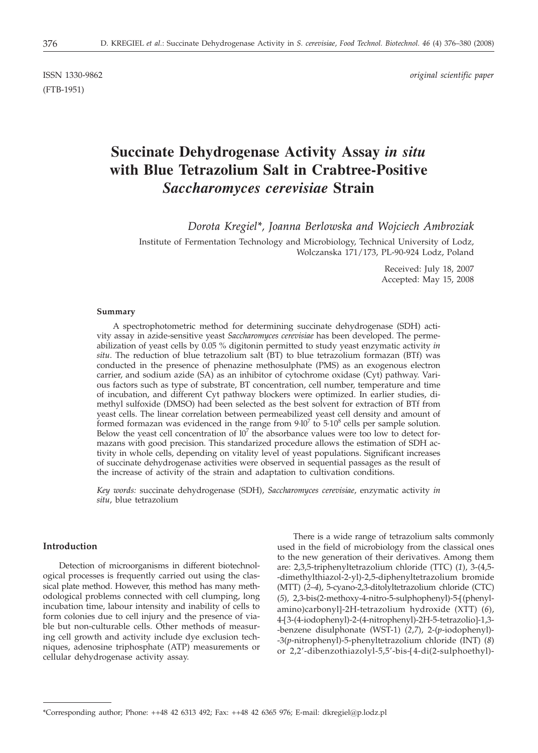(FTB-1951)

ISSN 1330-9862 *original scientific paper*

# **Succinate Dehydrogenase Activity Assay** *in situ* **with Blue Tetrazolium Salt in Crabtree-Positive** *Saccharomyces cerevisiae* **Strain**

*Dorota Kregiel\*, Joanna Berlowska and Wojciech Ambroziak*

Institute of Fermentation Technology and Microbiology, Technical University of Lodz, Wolczanska 171/173, PL-90-924 Lodz, Poland

> Received: July 18, 2007 Accepted: May 15, 2008

#### **Summary**

A spectrophotometric method for determining succinate dehydrogenase (SDH) activity assay in azide-sensitive yeast *Saccharomyces cerevisiae* has been developed. The permeabilization of yeast cells by 0.05 % digitonin permitted to study yeast enzymatic activity *in situ*. The reduction of blue tetrazolium salt (BT) to blue tetrazolium formazan (BTf) was conducted in the presence of phenazine methosulphate (PMS) as an exogenous electron carrier, and sodium azide (SA) as an inhibitor of cytochrome oxidase (Cyt) pathway. Various factors such as type of substrate, BT concentration, cell number, temperature and time of incubation, and different Cyt pathway blockers were optimized. In earlier studies, dimethyl sulfoxide (DMSO) had been selected as the best solvent for extraction of BTf from yeast cells. The linear correlation between permeabilized yeast cell density and amount of formed formazan was evidenced in the range from  $9\cdot 10^7$  to  $5\cdot 10^8$  cells per sample solution. Below the yeast cell concentration of  $10<sup>7</sup>$  the absorbance values were too low to detect formazans with good precision. This standarized procedure allows the estimation of SDH activity in whole cells, depending on vitality level of yeast populations. Significant increases of succinate dehydrogenase activities were observed in sequential passages as the result of the increase of activity of the strain and adaptation to cultivation conditions.

*Key words:* succinate dehydrogenase (SDH), *Saccharomyces cerevisiae*, enzymatic activity *in situ*, blue tetrazolium

# **Introduction**

Detection of microorganisms in different biotechnological processes is frequently carried out using the classical plate method. However, this method has many methodological problems connected with cell clumping, long incubation time, labour intensity and inability of cells to form colonies due to cell injury and the presence of viable but non-culturable cells. Other methods of measuring cell growth and activity include dye exclusion techniques, adenosine triphosphate (ATP) measurements or cellular dehydrogenase activity assay.

There is a wide range of tetrazolium salts commonly used in the field of microbiology from the classical ones to the new generation of their derivatives. Among them are: 2,3,5-triphenyltetrazolium chloride (TTC) (*1*), 3-(4,5- -dimethylthiazol-2-yl)-2,5-diphenyltetrazolium bromide (MTT) (*2*–*4*), 5-cyano-2,3-ditolyltetrazolium chloride (CTC) (*5*), 2,3-bis(2-methoxy-4-nitro-5-sulphophenyl)-5-[(phenylamino)carbonyl]-2H-tetrazolium hydroxide (XTT) (*6*), 4-[3-(4-iodophenyl)-2-(4-nitrophenyl)-2H-5-tetrazolio]-1,3- -benzene disulphonate (WST-1) (*2*,*7*), 2-(*p*-iodophenyl)- -3(*p*-nitrophenyl)-5-phenyltetrazolium chloride (INT) (*8*) or 2,2'-dibenzothiazolyl-5,5'-bis-[4-di(2-sulphoethyl)-

<sup>\*</sup>Corresponding author; Phone: ++48 42 6313 492; Fax: ++48 42 6365 976; E-mail: dkregiel@p.lodz.pl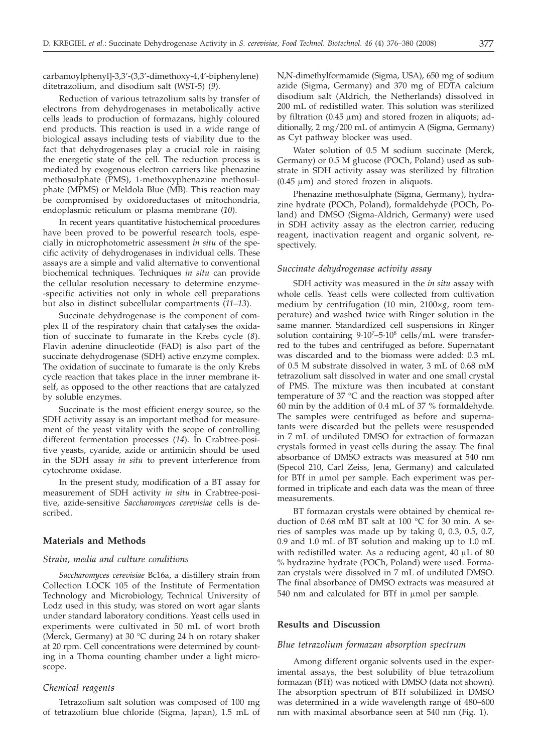carbamoylphenyl]-3,3'-(3,3'-dimethoxy-4,4'-biphenylene) ditetrazolium, and disodium salt (WST-5) (*9*).

Reduction of various tetrazolium salts by transfer of electrons from dehydrogenases in metabolically active cells leads to production of formazans, highly coloured end products. This reaction is used in a wide range of biological assays including tests of viability due to the fact that dehydrogenases play a crucial role in raising the energetic state of the cell. The reduction process is mediated by exogenous electron carriers like phenazine methosulphate (PMS), 1-methoxyphenazine methosulphate (MPMS) or Meldola Blue (MB). This reaction may be compromised by oxidoreductases of mitochondria, endoplasmic reticulum or plasma membrane (*10*).

In recent years quantitative histochemical procedures have been proved to be powerful research tools, especially in microphotometric assessment *in situ* of the specific activity of dehydrogenases in individual cells. These assays are a simple and valid alternative to conventional biochemical techniques. Techniques *in situ* can provide the cellular resolution necessary to determine enzyme- -specific activities not only in whole cell preparations but also in distinct subcellular compartments (*11*–*13*).

Succinate dehydrogenase is the component of complex II of the respiratory chain that catalyses the oxidation of succinate to fumarate in the Krebs cycle (*8*). Flavin adenine dinucleotide (FAD) is also part of the succinate dehydrogenase (SDH) active enzyme complex. The oxidation of succinate to fumarate is the only Krebs cycle reaction that takes place in the inner membrane itself, as opposed to the other reactions that are catalyzed by soluble enzymes.

Succinate is the most efficient energy source, so the SDH activity assay is an important method for measurement of the yeast vitality with the scope of controlling different fermentation processes (*14*). In Crabtree-positive yeasts, cyanide, azide or antimicin should be used in the SDH assay *in situ* to prevent interference from cytochrome oxidase.

In the present study, modification of a BT assay for measurement of SDH activity *in situ* in Crabtree-positive, azide-sensitive *Saccharomyces cerevisiae* cells is described.

### **Materials and Methods**

#### *Strain, media and culture conditions*

*Saccharomyces cerevisiae* Bc16a, a distillery strain from Collection LOCK 105 of the Institute of Fermentation Technology and Microbiology, Technical University of Lodz used in this study, was stored on wort agar slants under standard laboratory conditions. Yeast cells used in experiments were cultivated in 50 mL of wort broth (Merck, Germany) at 30 °C during 24 h on rotary shaker at 20 rpm. Cell concentrations were determined by counting in a Thoma counting chamber under a light microscope.

# *Chemical reagents*

Tetrazolium salt solution was composed of 100 mg of tetrazolium blue chloride (Sigma, Japan), 1.5 mL of N,N-dimethylformamide (Sigma, USA), 650 mg of sodium azide (Sigma, Germany) and 370 mg of EDTA calcium disodium salt (Aldrich, the Netherlands) dissolved in 200 mL of redistilled water. This solution was sterilized by filtration  $(0.45 \mu m)$  and stored frozen in aliquots; additionally, 2 mg/200 mL of antimycin A (Sigma, Germany) as Cyt pathway blocker was used.

Water solution of 0.5 M sodium succinate (Merck, Germany) or 0.5 M glucose (POCh, Poland) used as substrate in SDH activity assay was sterilized by filtration  $(0.45 \mu m)$  and stored frozen in aliquots.

Phenazine methosulphate (Sigma, Germany), hydrazine hydrate (POCh, Poland), formaldehyde (POCh, Poland) and DMSO (Sigma-Aldrich, Germany) were used in SDH activity assay as the electron carrier, reducing reagent, inactivation reagent and organic solvent, respectively.

#### *Succinate dehydrogenase activity assay*

SDH activity was measured in the *in situ* assay with whole cells. Yeast cells were collected from cultivation medium by centrifugation (10 min, 2100×g, room temperature) and washed twice with Ringer solution in the same manner. Standardized cell suspensions in Ringer solution containing 9.10<sup>7</sup>-5.10<sup>8</sup> cells/mL were transferred to the tubes and centrifuged as before. Supernatant was discarded and to the biomass were added: 0.3 mL of 0.5 M substrate dissolved in water, 3 mL of 0.68 mM tetrazolium salt dissolved in water and one small crystal of PMS. The mixture was then incubated at constant temperature of 37 $\degree$ C and the reaction was stopped after 60 min by the addition of 0.4 mL of 37 % formaldehyde. The samples were centrifuged as before and supernatants were discarded but the pellets were resuspended in 7 mL of undiluted DMSO for extraction of formazan crystals formed in yeast cells during the assay. The final absorbance of DMSO extracts was measured at 540 nm (Specol 210, Carl Zeiss, Jena, Germany) and calculated for BTf in µmol per sample. Each experiment was performed in triplicate and each data was the mean of three measurements.

BT formazan crystals were obtained by chemical reduction of 0.68 mM BT salt at 100 °C for 30 min. A series of samples was made up by taking 0, 0.3, 0.5, 0.7, 0.9 and 1.0 mL of BT solution and making up to 1.0 mL with redistilled water. As a reducing agent,  $40 \mu L$  of  $80$ % hydrazine hydrate (POCh, Poland) were used. Formazan crystals were dissolved in 7 mL of undiluted DMSO. The final absorbance of DMSO extracts was measured at 540 nm and calculated for BTf in µmol per sample.

### **Results and Discussion**

#### *Blue tetrazolium formazan absorption spectrum*

Among different organic solvents used in the experimental assays, the best solubility of blue tetrazolium formazan (BTf) was noticed with DMSO (data not shown). The absorption spectrum of BTf solubilized in DMSO was determined in a wide wavelength range of 480–600 nm with maximal absorbance seen at 540 nm (Fig. 1).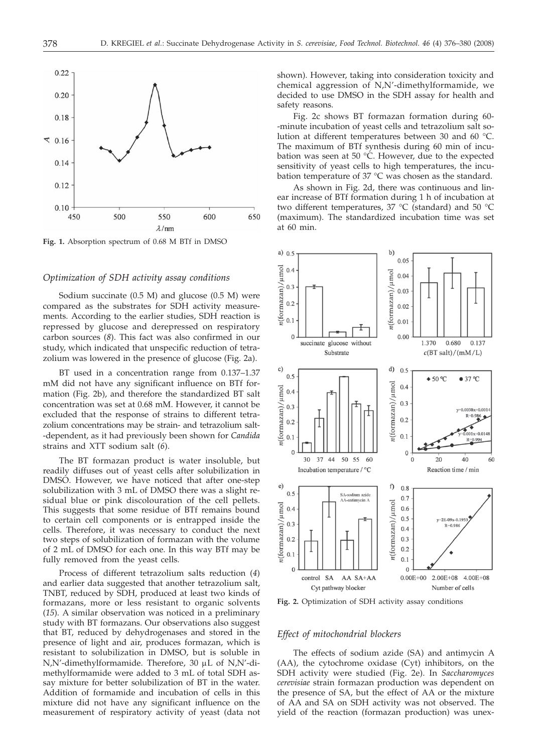

**Fig. 1.** Absorption spectrum of 0.68 M BTf in DMSO

# *Optimization of SDH activity assay conditions*

Sodium succinate (0.5 M) and glucose (0.5 M) were compared as the substrates for SDH activity measurements. According to the earlier studies, SDH reaction is repressed by glucose and derepressed on respiratory carbon sources (*8*). This fact was also confirmed in our study, which indicated that unspecific reduction of tetrazolium was lowered in the presence of glucose (Fig. 2a).

BT used in a concentration range from 0.137–1.37 mM did not have any significant influence on BTf formation (Fig. 2b), and therefore the standardized BT salt concentration was set at 0.68 mM. However, it cannot be excluded that the response of strains to different tetrazolium concentrations may be strain- and tetrazolium salt- -dependent, as it had previously been shown for *Candida* strains and XTT sodium salt (*6*).

The BT formazan product is water insoluble, but readily diffuses out of yeast cells after solubilization in DMSO. However, we have noticed that after one-step solubilization with 3 mL of DMSO there was a slight residual blue or pink discolouration of the cell pellets. This suggests that some residue of BTf remains bound to certain cell components or is entrapped inside the cells. Therefore, it was necessary to conduct the next two steps of solubilization of formazan with the volume of 2 mL of DMSO for each one. In this way BTf may be fully removed from the yeast cells.

Process of different tetrazolium salts reduction (*4*) and earlier data suggested that another tetrazolium salt, TNBT, reduced by SDH, produced at least two kinds of formazans, more or less resistant to organic solvents (*15*). A similar observation was noticed in a preliminary study with BT formazans. Our observations also suggest that BT, reduced by dehydrogenases and stored in the presence of light and air, produces formazan, which is resistant to solubilization in DMSO, but is soluble in N,N'-dimethylformamide. Therefore, 30 mL of N,N'-dimethylformamide were added to 3 mL of total SDH assay mixture for better solubilization of BT in the water. Addition of formamide and incubation of cells in this mixture did not have any significant influence on the measurement of respiratory activity of yeast (data not

shown). However, taking into consideration toxicity and chemical aggression of N,N'-dimethylformamide, we decided to use DMSO in the SDH assay for health and safety reasons.

Fig. 2c shows BT formazan formation during 60- -minute incubation of yeast cells and tetrazolium salt solution at different temperatures between 30 and 60 °C. The maximum of BTf synthesis during 60 min of incubation was seen at 50 °C. However, due to the expected sensitivity of yeast cells to high temperatures, the incubation temperature of 37 °C was chosen as the standard.

As shown in Fig. 2d, there was continuous and linear increase of BTf formation during 1 h of incubation at two different temperatures, 37 °C (standard) and 50 °C (maximum). The standardized incubation time was set at  $60 \text{ min}$ 



**Fig. 2.** Optimization of SDH activity assay conditions

# *Effect of mitochondrial blockers*

The effects of sodium azide (SA) and antimycin A (AA), the cytochrome oxidase (Cyt) inhibitors, on the SDH activity were studied (Fig. 2e). In *Saccharomyces cerevisiae* strain formazan production was dependent on the presence of SA, but the effect of AA or the mixture of AA and SA on SDH activity was not observed. The yield of the reaction (formazan production) was unex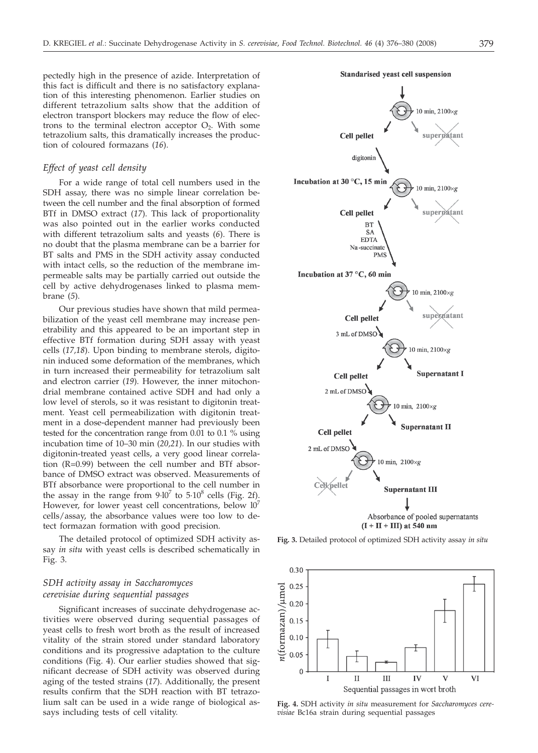pectedly high in the presence of azide. Interpretation of this fact is difficult and there is no satisfactory explanation of this interesting phenomenon. Earlier studies on different tetrazolium salts show that the addition of electron transport blockers may reduce the flow of electrons to the terminal electron acceptor  $O_2$ . With some tetrazolium salts, this dramatically increases the production of coloured formazans (*16*).

#### *Effect of yeast cell density*

For a wide range of total cell numbers used in the SDH assay, there was no simple linear correlation between the cell number and the final absorption of formed BTf in DMSO extract (*17*). This lack of proportionality was also pointed out in the earlier works conducted with different tetrazolium salts and yeasts (*6*). There is no doubt that the plasma membrane can be a barrier for BT salts and PMS in the SDH activity assay conducted with intact cells, so the reduction of the membrane impermeable salts may be partially carried out outside the cell by active dehydrogenases linked to plasma membrane (*5*).

Our previous studies have shown that mild permeabilization of the yeast cell membrane may increase penetrability and this appeared to be an important step in effective BTf formation during SDH assay with yeast cells (*17,18*). Upon binding to membrane sterols, digitonin induced some deformation of the membranes, which in turn increased their permeability for tetrazolium salt and electron carrier (*19*). However, the inner mitochondrial membrane contained active SDH and had only a low level of sterols, so it was resistant to digitonin treatment. Yeast cell permeabilization with digitonin treatment in a dose-dependent manner had previously been tested for the concentration range from 0.01 to 0.1 % using incubation time of 10–30 min (*20,21*). In our studies with digitonin-treated yeast cells, a very good linear correlation (R=0.99) between the cell number and BTf absorbance of DMSO extract was observed. Measurements of BTf absorbance were proportional to the cell number in the assay in the range from  $9\cdot 10^7$  to  $5\cdot 10^8$  cells (Fig. 2f). However, for lower yeast cell concentrations, below  $10<sup>7</sup>$ cells/assay, the absorbance values were too low to detect formazan formation with good precision.

The detailed protocol of optimized SDH activity assay *in situ* with yeast cells is described schematically in Fig. 3.

# *SDH activity assay in Saccharomyces cerevisiae during sequential passages*

Significant increases of succinate dehydrogenase activities were observed during sequential passages of yeast cells to fresh wort broth as the result of increased vitality of the strain stored under standard laboratory conditions and its progressive adaptation to the culture conditions (Fig. 4). Our earlier studies showed that significant decrease of SDH activity was observed during aging of the tested strains (*17*). Additionally, the present results confirm that the SDH reaction with BT tetrazolium salt can be used in a wide range of biological assays including tests of cell vitality.



**Fig. 3.** Detailed protocol of optimized SDH activity assay *in situ*



**Fig. 4.** SDH activity *in situ* measurement for *Saccharomyces cerevisiae* Bc16a strain during sequential passages